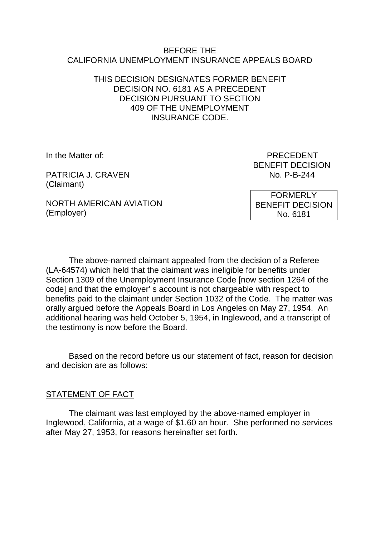#### BEFORE THE CALIFORNIA UNEMPLOYMENT INSURANCE APPEALS BOARD

# THIS DECISION DESIGNATES FORMER BENEFIT DECISION NO. 6181 AS A PRECEDENT DECISION PURSUANT TO SECTION 409 OF THE UNEMPLOYMENT INSURANCE CODE.

PATRICIA J. CRAVEN NO. P-B-244 (Claimant)

In the Matter of: PRECEDENT BENEFIT DECISION

NORTH AMERICAN AVIATION (Employer)

FORMERLY BENEFIT DECISION No. 6181

The above-named claimant appealed from the decision of a Referee (LA-64574) which held that the claimant was ineligible for benefits under Section 1309 of the Unemployment Insurance Code [now section 1264 of the code] and that the employer' s account is not chargeable with respect to benefits paid to the claimant under Section 1032 of the Code. The matter was orally argued before the Appeals Board in Los Angeles on May 27, 1954. An additional hearing was held October 5, 1954, in Inglewood, and a transcript of the testimony is now before the Board.

Based on the record before us our statement of fact, reason for decision and decision are as follows:

# STATEMENT OF FACT

The claimant was last employed by the above-named employer in Inglewood, California, at a wage of \$1.60 an hour. She performed no services after May 27, 1953, for reasons hereinafter set forth.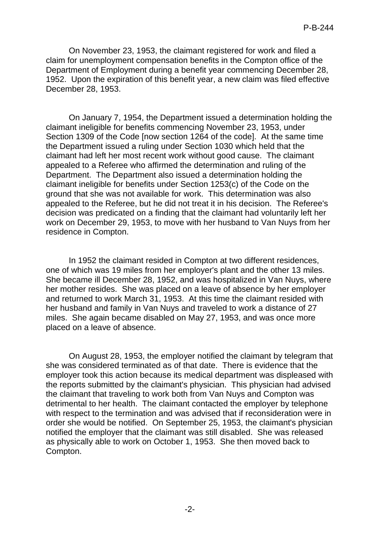On November 23, 1953, the claimant registered for work and filed a claim for unemployment compensation benefits in the Compton office of the Department of Employment during a benefit year commencing December 28, 1952. Upon the expiration of this benefit year, a new claim was filed effective December 28, 1953.

On January 7, 1954, the Department issued a determination holding the claimant ineligible for benefits commencing November 23, 1953, under Section 1309 of the Code [now section 1264 of the code]. At the same time the Department issued a ruling under Section 1030 which held that the claimant had left her most recent work without good cause. The claimant appealed to a Referee who affirmed the determination and ruling of the Department. The Department also issued a determination holding the claimant ineligible for benefits under Section 1253(c) of the Code on the ground that she was not available for work. This determination was also appealed to the Referee, but he did not treat it in his decision. The Referee's decision was predicated on a finding that the claimant had voluntarily left her work on December 29, 1953, to move with her husband to Van Nuys from her residence in Compton.

In 1952 the claimant resided in Compton at two different residences, one of which was 19 miles from her employer's plant and the other 13 miles. She became ill December 28, 1952, and was hospitalized in Van Nuys, where her mother resides. She was placed on a leave of absence by her employer and returned to work March 31, 1953. At this time the claimant resided with her husband and family in Van Nuys and traveled to work a distance of 27 miles. She again became disabled on May 27, 1953, and was once more placed on a leave of absence.

On August 28, 1953, the employer notified the claimant by telegram that she was considered terminated as of that date. There is evidence that the employer took this action because its medical department was displeased with the reports submitted by the claimant's physician. This physician had advised the claimant that traveling to work both from Van Nuys and Compton was detrimental to her health. The claimant contacted the employer by telephone with respect to the termination and was advised that if reconsideration were in order she would be notified. On September 25, 1953, the claimant's physician notified the employer that the claimant was still disabled. She was released as physically able to work on October 1, 1953. She then moved back to Compton.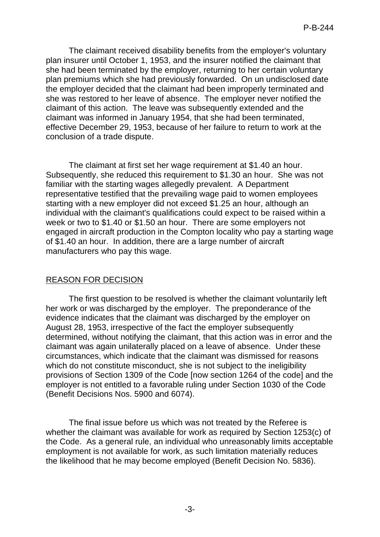The claimant received disability benefits from the employer's voluntary plan insurer until October 1, 1953, and the insurer notified the claimant that she had been terminated by the employer, returning to her certain voluntary plan premiums which she had previously forwarded. On un undisclosed date the employer decided that the claimant had been improperly terminated and she was restored to her leave of absence. The employer never notified the claimant of this action. The leave was subsequently extended and the claimant was informed in January 1954, that she had been terminated, effective December 29, 1953, because of her failure to return to work at the conclusion of a trade dispute.

The claimant at first set her wage requirement at \$1.40 an hour. Subsequently, she reduced this requirement to \$1.30 an hour. She was not familiar with the starting wages allegedly prevalent. A Department representative testified that the prevailing wage paid to women employees starting with a new employer did not exceed \$1.25 an hour, although an individual with the claimant's qualifications could expect to be raised within a week or two to \$1.40 or \$1.50 an hour. There are some employers not engaged in aircraft production in the Compton locality who pay a starting wage of \$1.40 an hour. In addition, there are a large number of aircraft manufacturers who pay this wage.

## REASON FOR DECISION

The first question to be resolved is whether the claimant voluntarily left her work or was discharged by the employer. The preponderance of the evidence indicates that the claimant was discharged by the employer on August 28, 1953, irrespective of the fact the employer subsequently determined, without notifying the claimant, that this action was in error and the claimant was again unilaterally placed on a leave of absence. Under these circumstances, which indicate that the claimant was dismissed for reasons which do not constitute misconduct, she is not subject to the ineligibility provisions of Section 1309 of the Code [now section 1264 of the code] and the employer is not entitled to a favorable ruling under Section 1030 of the Code (Benefit Decisions Nos. 5900 and 6074).

The final issue before us which was not treated by the Referee is whether the claimant was available for work as required by Section 1253(c) of the Code. As a general rule, an individual who unreasonably limits acceptable employment is not available for work, as such limitation materially reduces the likelihood that he may become employed (Benefit Decision No. 5836).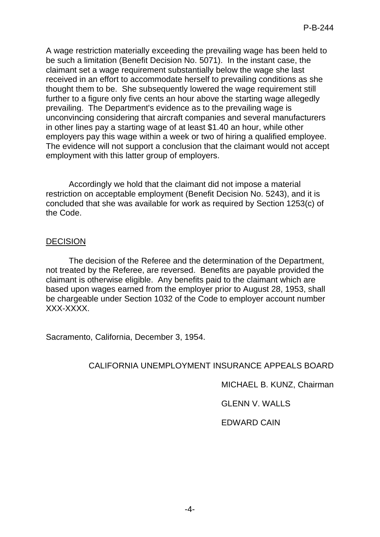A wage restriction materially exceeding the prevailing wage has been held to be such a limitation (Benefit Decision No. 5071). In the instant case, the claimant set a wage requirement substantially below the wage she last received in an effort to accommodate herself to prevailing conditions as she thought them to be. She subsequently lowered the wage requirement still further to a figure only five cents an hour above the starting wage allegedly prevailing. The Department's evidence as to the prevailing wage is unconvincing considering that aircraft companies and several manufacturers in other lines pay a starting wage of at least \$1.40 an hour, while other employers pay this wage within a week or two of hiring a qualified employee. The evidence will not support a conclusion that the claimant would not accept employment with this latter group of employers.

Accordingly we hold that the claimant did not impose a material restriction on acceptable employment (Benefit Decision No. 5243), and it is concluded that she was available for work as required by Section 1253(c) of the Code.

#### DECISION

The decision of the Referee and the determination of the Department, not treated by the Referee, are reversed. Benefits are payable provided the claimant is otherwise eligible. Any benefits paid to the claimant which are based upon wages earned from the employer prior to August 28, 1953, shall be chargeable under Section 1032 of the Code to employer account number XXX-XXXX.

Sacramento, California, December 3, 1954.

## CALIFORNIA UNEMPLOYMENT INSURANCE APPEALS BOARD

MICHAEL B. KUNZ, Chairman

GLENN V. WALLS

EDWARD CAIN